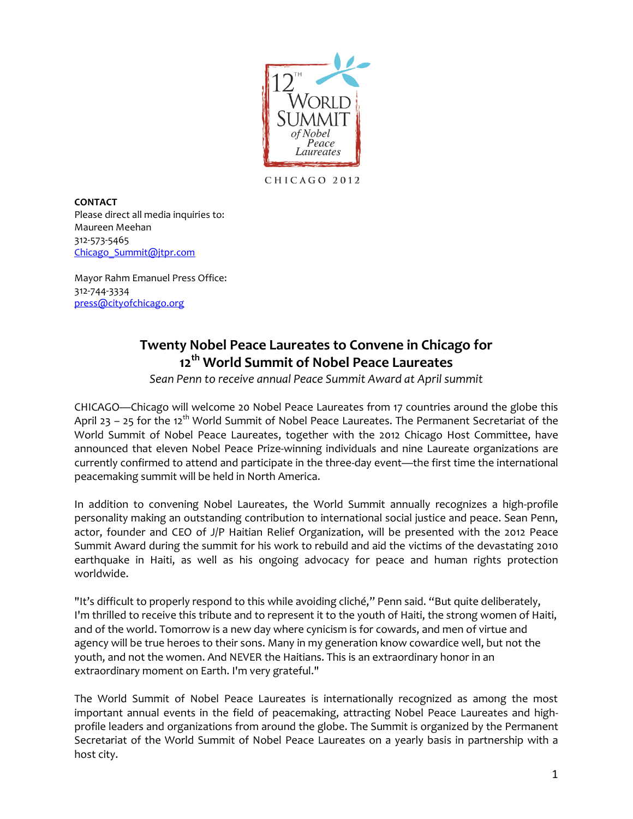

CHICAGO 2012

**CONTACT** Please direct all media inquiries to: Maureen Meehan 312-573-5465 [Chicago\\_Summit@jtpr.com](mailto:Chicago_Summit@jtpr.com)

Mayor Rahm Emanuel Press Office: 312-744-3334 [press@cityofchicago.org](mailto:press@cityofchicago.org)

## **Twenty Nobel Peace Laureates to Convene in Chicago for 12th World Summit of Nobel Peace Laureates**

*Sean Penn to receive annual Peace Summit Award at April summit* 

CHICAGO—Chicago will welcome 20 Nobel Peace Laureates from 17 countries around the globe this April 23 – 25 for the 12<sup>th</sup> World Summit of Nobel Peace Laureates. The Permanent Secretariat of the World Summit of Nobel Peace Laureates, together with the 2012 Chicago Host Committee, have announced that eleven Nobel Peace Prize-winning individuals and nine Laureate organizations are currently confirmed to attend and participate in the three-day event—the first time the international peacemaking summit will be held in North America.

In addition to convening Nobel Laureates, the World Summit annually recognizes a high-profile personality making an outstanding contribution to international social justice and peace. Sean Penn, actor, founder and CEO of J/P Haitian Relief Organization, will be presented with the 2012 Peace Summit Award during the summit for his work to rebuild and aid the victims of the devastating 2010 earthquake in Haiti, as well as his ongoing advocacy for peace and human rights protection worldwide.

"It's difficult to properly respond to this while avoiding cliché," Penn said. "But quite deliberately, I'm thrilled to receive this tribute and to represent it to the youth of Haiti, the strong women of Haiti, and of the world. Tomorrow is a new day where cynicism is for cowards, and men of virtue and agency will be true heroes to their sons. Many in my generation know cowardice well, but not the youth, and not the women. And NEVER the Haitians. This is an extraordinary honor in an extraordinary moment on Earth. I'm very grateful."

The World Summit of Nobel Peace Laureates is internationally recognized as among the most important annual events in the field of peacemaking, attracting Nobel Peace Laureates and highprofile leaders and organizations from around the globe. The Summit is organized by the Permanent Secretariat of the World Summit of Nobel Peace Laureates on a yearly basis in partnership with a host city.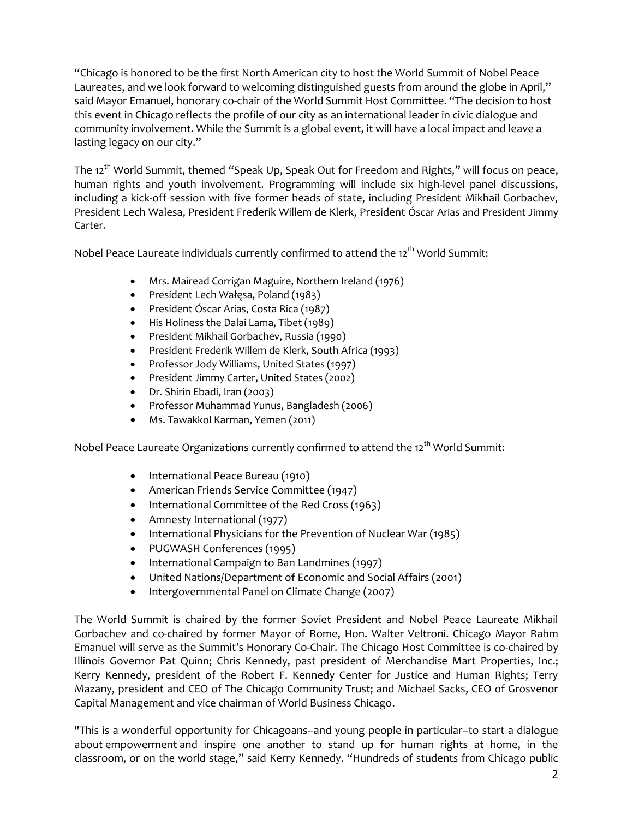"Chicago is honored to be the first North American city to host the World Summit of Nobel Peace Laureates, and we look forward to welcoming distinguished guests from around the globe in April," said Mayor Emanuel, honorary co-chair of the World Summit Host Committee. "The decision to host this event in Chicago reflects the profile of our city as an international leader in civic dialogue and community involvement. While the Summit is a global event, it will have a local impact and leave a lasting legacy on our city."

The 12<sup>th</sup> World Summit, themed "Speak Up, Speak Out for Freedom and Rights," will focus on peace, human rights and youth involvement. Programming will include six high-level panel discussions, including a kick-off session with five former heads of state, including President Mikhail Gorbachev, President Lech Walesa, President Frederik Willem de Klerk, President Óscar Arias and President Jimmy Carter.

Nobel Peace Laureate individuals currently confirmed to attend the 12<sup>th</sup> World Summit:

- Mrs. Mairead Corrigan Maguire, Northern Ireland (1976)
- President Lech Wałęsa, Poland (1983)
- President Óscar Arias, Costa Rica (1987)
- His Holiness the Dalai Lama, Tibet (1989)
- President Mikhail Gorbachev, Russia (1990)
- President Frederik Willem de Klerk, South Africa (1993)
- Professor Jody Williams, United States (1997)
- President Jimmy Carter, United States (2002)
- Dr. Shirin Ebadi, Iran (2003)
- Professor Muhammad Yunus, Bangladesh (2006)
- Ms. Tawakkol Karman, Yemen (2011)

Nobel Peace Laureate Organizations currently confirmed to attend the 12<sup>th</sup> World Summit:

- International Peace Bureau (1910)
- American Friends Service Committee (1947)
- International Committee of the Red Cross (1963)
- Amnesty International (1977)
- International Physicians for the Prevention of Nuclear War (1985)
- PUGWASH Conferences (1995)
- International Campaign to Ban Landmines (1997)
- United Nations/Department of Economic and Social Affairs (2001)
- Intergovernmental Panel on Climate Change (2007)

The World Summit is chaired by the former Soviet President and Nobel Peace Laureate Mikhail Gorbachev and co-chaired by former Mayor of Rome, Hon. Walter Veltroni. Chicago Mayor Rahm Emanuel will serve as the Summit's Honorary Co-Chair. The Chicago Host Committee is co-chaired by Illinois Governor Pat Quinn; Chris Kennedy, past president of Merchandise Mart Properties, Inc.; Kerry Kennedy, president of the Robert F. Kennedy Center for Justice and Human Rights; Terry Mazany, president and CEO of The Chicago Community Trust; and Michael Sacks, CEO of Grosvenor Capital Management and vice chairman of World Business Chicago.

"This is a wonderful opportunity for Chicagoans--and young people in particular--to start a dialogue about empowerment and inspire one another to stand up for human rights at home, in the classroom, or on the world stage," said Kerry Kennedy. "Hundreds of students from Chicago public